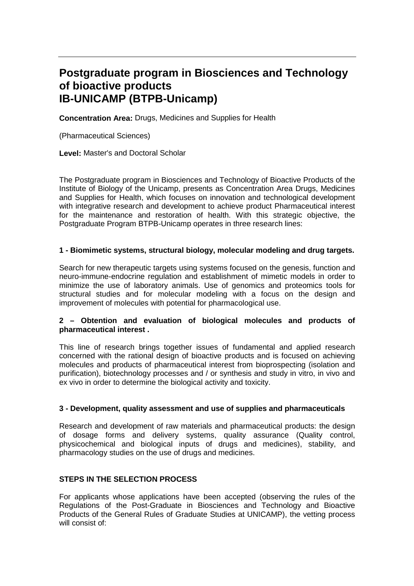# **Postgraduate program in Biosciences and Technology of bioactive products IB-UNICAMP (BTPB-Unicamp)**

**Concentration Area:** Drugs, Medicines and Supplies for Health

(Pharmaceutical Sciences)

**Level:** Master's and Doctoral Scholar

The Postgraduate program in Biosciences and Technology of Bioactive Products of the Institute of Biology of the Unicamp, presents as Concentration Area Drugs, Medicines and Supplies for Health, which focuses on innovation and technological development with integrative research and development to achieve product Pharmaceutical interest for the maintenance and restoration of health. With this strategic objective, the Postgraduate Program BTPB-Unicamp operates in three research lines:

# **1 - Biomimetic systems, structural biology, molecular modeling and drug targets.**

Search for new therapeutic targets using systems focused on the genesis, function and neuro-immune-endocrine regulation and establishment of mimetic models in order to minimize the use of laboratory animals. Use of genomics and proteomics tools for structural studies and for molecular modeling with a focus on the design and improvement of molecules with potential for pharmacological use.

# **2 – Obtention and evaluation of biological molecules and products of pharmaceutical interest .**

This line of research brings together issues of fundamental and applied research concerned with the rational design of bioactive products and is focused on achieving molecules and products of pharmaceutical interest from bioprospecting (isolation and purification), biotechnology processes and / or synthesis and study in vitro, in vivo and ex vivo in order to determine the biological activity and toxicity.

# **3 - Development, quality assessment and use of supplies and pharmaceuticals**

Research and development of raw materials and pharmaceutical products: the design of dosage forms and delivery systems, quality assurance (Quality control, physicochemical and biological inputs of drugs and medicines), stability, and pharmacology studies on the use of drugs and medicines.

# **STEPS IN THE SELECTION PROCESS**

For applicants whose applications have been accepted (observing the rules of the Regulations of the Post-Graduate in Biosciences and Technology and Bioactive Products of the General Rules of Graduate Studies at UNICAMP), the vetting process will consist of: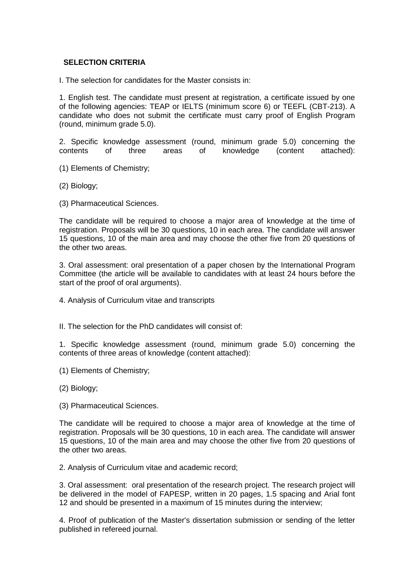# **SELECTION CRITERIA**

I. The selection for candidates for the Master consists in:

1. English test. The candidate must present at registration, a certificate issued by one of the following agencies: TEAP or IELTS (minimum score 6) or TEEFL (CBT-213). A candidate who does not submit the certificate must carry proof of English Program (round, minimum grade 5.0).

2. Specific knowledge assessment (round, minimum grade 5.0) concerning the contents of three areas of knowledge (content attached):

- (1) Elements of Chemistry;
- (2) Biology;
- (3) Pharmaceutical Sciences.

The candidate will be required to choose a major area of knowledge at the time of registration. Proposals will be 30 questions, 10 in each area. The candidate will answer 15 questions, 10 of the main area and may choose the other five from 20 questions of the other two areas.

3. Oral assessment: oral presentation of a paper chosen by the International Program Committee (the article will be available to candidates with at least 24 hours before the start of the proof of oral arguments).

- 4. Analysis of Curriculum vitae and transcripts
- II. The selection for the PhD candidates will consist of:

1. Specific knowledge assessment (round, minimum grade 5.0) concerning the contents of three areas of knowledge (content attached):

- (1) Elements of Chemistry;
- (2) Biology;
- (3) Pharmaceutical Sciences.

The candidate will be required to choose a major area of knowledge at the time of registration. Proposals will be 30 questions, 10 in each area. The candidate will answer 15 questions, 10 of the main area and may choose the other five from 20 questions of the other two areas.

2. Analysis of Curriculum vitae and academic record;

3. Oral assessment: oral presentation of the research project. The research project will be delivered in the model of FAPESP, written in 20 pages, 1.5 spacing and Arial font 12 and should be presented in a maximum of 15 minutes during the interview;

4. Proof of publication of the Master's dissertation submission or sending of the letter published in refereed journal.